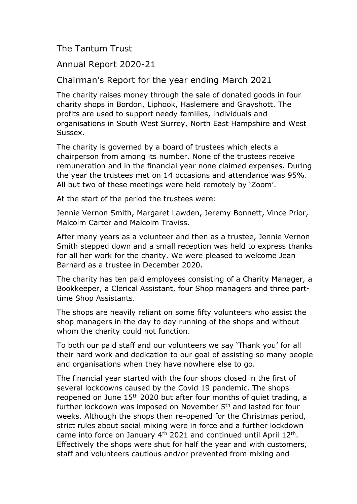## The Tantum Trust

## Annual Report 2020-21

## Chairman's Report for the year ending March 2021

The charity raises money through the sale of donated goods in four charity shops in Bordon, Liphook, Haslemere and Grayshott. The profits are used to support needy families, individuals and organisations in South West Surrey, North East Hampshire and West Sussex.

The charity is governed by a board of trustees which elects a chairperson from among its number. None of the trustees receive remuneration and in the financial year none claimed expenses. During the year the trustees met on 14 occasions and attendance was 95%. All but two of these meetings were held remotely by 'Zoom'.

At the start of the period the trustees were:

Jennie Vernon Smith, Margaret Lawden, Jeremy Bonnett, Vince Prior, Malcolm Carter and Malcolm Traviss.

After many years as a volunteer and then as a trustee, Jennie Vernon Smith stepped down and a small reception was held to express thanks for all her work for the charity. We were pleased to welcome Jean Barnard as a trustee in December 2020.

The charity has ten paid employees consisting of a Charity Manager, a Bookkeeper, a Clerical Assistant, four Shop managers and three parttime Shop Assistants.

The shops are heavily reliant on some fifty volunteers who assist the shop managers in the day to day running of the shops and without whom the charity could not function.

To both our paid staff and our volunteers we say 'Thank you' for all their hard work and dedication to our goal of assisting so many people and organisations when they have nowhere else to go.

The financial year started with the four shops closed in the first of several lockdowns caused by the Covid 19 pandemic. The shops reopened on June 15<sup>th</sup> 2020 but after four months of quiet trading, a further lockdown was imposed on November 5th and lasted for four weeks. Although the shops then re-opened for the Christmas period, strict rules about social mixing were in force and a further lockdown came into force on January  $4<sup>th</sup>$  2021 and continued until April 12<sup>th</sup>. Effectively the shops were shut for half the year and with customers, staff and volunteers cautious and/or prevented from mixing and